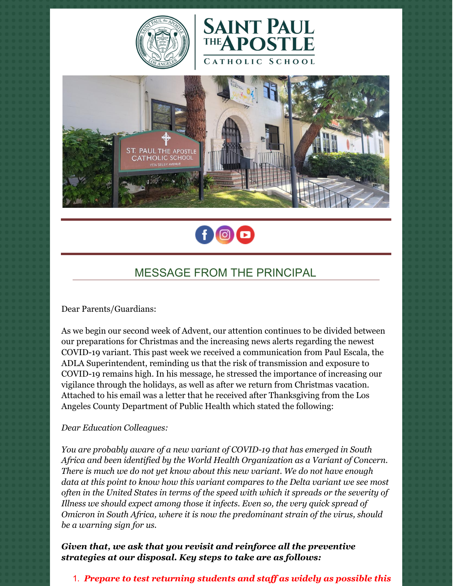







## MESSAGE FROM THE PRINCIPAL

Dear Parents/Guardians:

As we begin our second week of Advent, our attention continues to be divided between our preparations for Christmas and the increasing news alerts regarding the newest COVID-19 variant. This past week we received a communication from Paul Escala, the ADLA Superintendent, reminding us that the risk of transmission and exposure to COVID-19 remains high. In his message, he stressed the importance of increasing our vigilance through the holidays, as well as after we return from Christmas vacation. Attached to his email was a letter that he received after Thanksgiving from the Los Angeles County Department of Public Health which stated the following:

## *Dear Education Colleagues:*

*You are probably aware of a new variant of COVID-19 that has emerged in South Africa and been identified by the World Health Organization as a Variant of Concern. There is much we do not yet know about this new variant. We do not have enough data at this point to know how this variant compares to the Delta variant we see most often in the United States in terms of the speed with which it spreads or the severity of Illness we should expect among those it infects. Even so, the very quick spread of Omicron in South Africa, where it is now the predominant strain of the virus, should be a warning sign for us.*

*Given that, we ask that you revisit and reinforce all the preventive strategies at our disposal. Key steps to take are as follows:*

## 1. *Prepare to test returning students and staf as widely as possible this*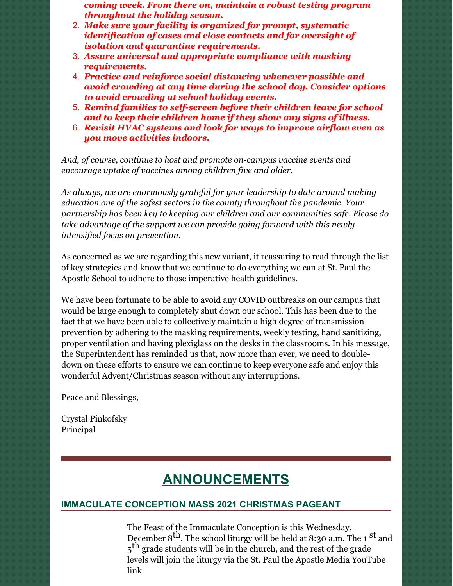*coming week. From there on, maintain a robust testing program throughout the holiday season.*

- 2. *Make sure your facility is organized for prompt, systematic identification of cases and close contacts and for oversight of isolation and quarantine requirements.*
- 3. *Assure universal and appropriate compliance with masking requirements.*
- 4. *Practice and reinforce social distancing whenever possible and avoid crowding at any time during the school day. Consider options to avoid crowding at school holiday events.*
- 5. *Remind families to self-screen before their children leave for school and to keep their children home if they show any signs of illness.*
- 6. *Revisit HVAC systems and look for ways to improve airflow even as you move activities indoors.*

*And, of course, continue to host and promote on-campus vaccine events and encourage uptake of vaccines among children five and older.*

*As always, we are enormously grateful for your leadership to date around making education one of the safest sectors in the county throughout the pandemic. Your partnership has been key to keeping our children and our communities safe. Please do take advantage of the support we can provide going forward with this newly intensified focus on prevention.*

As concerned as we are regarding this new variant, it reassuring to read through the list of key strategies and know that we continue to do everything we can at St. Paul the Apostle School to adhere to those imperative health guidelines.

We have been fortunate to be able to avoid any COVID outbreaks on our campus that would be large enough to completely shut down our school. This has been due to the fact that we have been able to collectively maintain a high degree of transmission prevention by adhering to the masking requirements, weekly testing, hand sanitizing, proper ventilation and having plexiglass on the desks in the classrooms. In his message, the Superintendent has reminded us that, now more than ever, we need to doubledown on these efforts to ensure we can continue to keep everyone safe and enjoy this wonderful Advent/Christmas season without any interruptions.

Peace and Blessings,

Crystal Pinkofsky Principal

# **ANNOUNCEMENTS**

## **IMMACULATE CONCEPTION MASS 2021 CHRISTMAS PAGEANT**

The Feast of the Immaculate Conception is this Wednesday, December 8<sup>th</sup>. The school liturgy will be held at 8:30 a.m. The 1<sup>st</sup> and 5<sup>th</sup> grade students will be in the church, and the rest of the grade levels will join the liturgy via the St. Paul the Apostle Media YouTube link.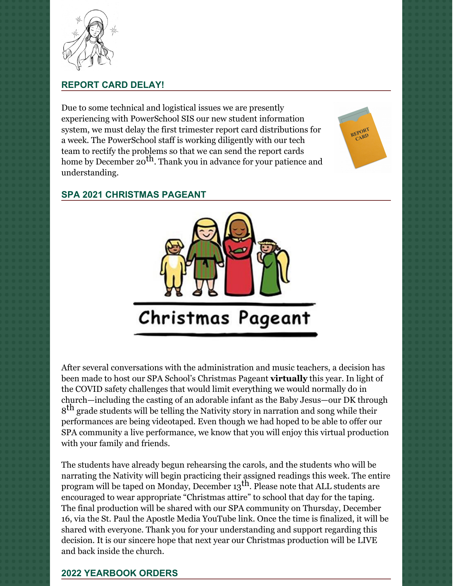

## **REPORT CARD DELAY!**

Due to some technical and logistical issues we are presently experiencing with PowerSchool SIS our new student information system, we must delay the first trimester report card distributions for a week. The PowerSchool staff is working diligently with our tech team to rectify the problems so that we can send the report cards home by December 20<sup>th</sup>. Thank you in advance for your patience and understanding.





## **SPA 2021 CHRISTMAS PAGEANT**



After several conversations with the administration and music teachers, a decision has been made to host our SPA School's Christmas Pageant **virtually** this year. In light of the COVID safety challenges that would limit everything we would normally do in church—including the casting of an adorable infant as the Baby Jesus—our DK through  $8^{\text{th}}$  grade students will be telling the Nativity story in narration and song while their performances are being videotaped. Even though we had hoped to be able to offer our SPA community a live performance, we know that you will enjoy this virtual production with your family and friends.

The students have already begun rehearsing the carols, and the students who will be narrating the Nativity will begin practicing their assigned readings this week. The entire program will be taped on Monday, December 13<sup>th</sup>. Please note that ALL students are encouraged to wear appropriate "Christmas attire" to school that day for the taping. The final production will be shared with our SPA community on Thursday, December 16, via the St. Paul the Apostle Media YouTube link. Once the time is finalized, it will be shared with everyone. Thank you for your understanding and support regarding this decision. It is our sincere hope that next year our Christmas production will be LIVE and back inside the church.

## **2022 YEARBOOK ORDERS**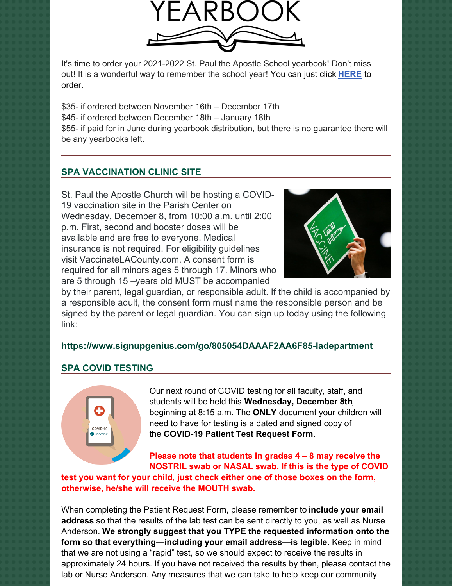

It's time to order your 2021-2022 St. Paul the Apostle School yearbook! Don't miss out! It is a wonderful way to remember the school year! You can just click **[HERE](https://www.prestoregister.com/cgi-bin/order.pl?ref=spapostle_school&fm=3)** to order.

\$35- if ordered between November 16th – December 17th \$45- if ordered between December 18th – January 18th \$55- if paid for in June during yearbook distribution, but there is no guarantee there will be any yearbooks left.

## **SPA VACCINATION CLINIC SITE**

St. Paul the Apostle Church will be hosting a COVID-19 vaccination site in the Parish Center on Wednesday, December 8, from 10:00 a.m. until 2:00 p.m. First, second and booster doses will be available and are free to everyone. Medical insurance is not required. For eligibility guidelines visit VaccinateLACounty.com. A consent form is required for all minors ages 5 through 17. Minors who are 5 through 15 –years old MUST be accompanied



by their parent, legal guardian, or responsible adult. If the child is accompanied by a responsible adult, the consent form must name the responsible person and be signed by the parent or legal guardian. You can sign up today using the following link:

#### **<https://www.signupgenius.com/go/805054DAAAF2AA6F85-ladepartment>**

#### **SPA COVID TESTING**



Our next round of COVID testing for all faculty, staff, and students will be held this **Wednesday, December 8th**, beginning at 8:15 a.m. The **ONLY** document your children will need to have for testing is a dated and signed copy of the **COVID-19 Patient Test Request Form.**

**Please note that students in grades 4 – 8 may receive the NOSTRIL swab or NASAL swab. If this is the type of COVID**

**test you want for your child, just check either one of those boxes on the form, otherwise, he/she will receive the MOUTH swab.**

When completing the Patient Request Form, please remember to **include your email address** so that the results of the lab test can be sent directly to you, as well as Nurse Anderson. **We strongly suggest that you TYPE the requested information onto the form so that everything—including your email address—is legible**. Keep in mind that we are not using a "rapid" test, so we should expect to receive the results in approximately 24 hours. If you have not received the results by then, please contact the lab or Nurse Anderson. Any measures that we can take to help keep our community